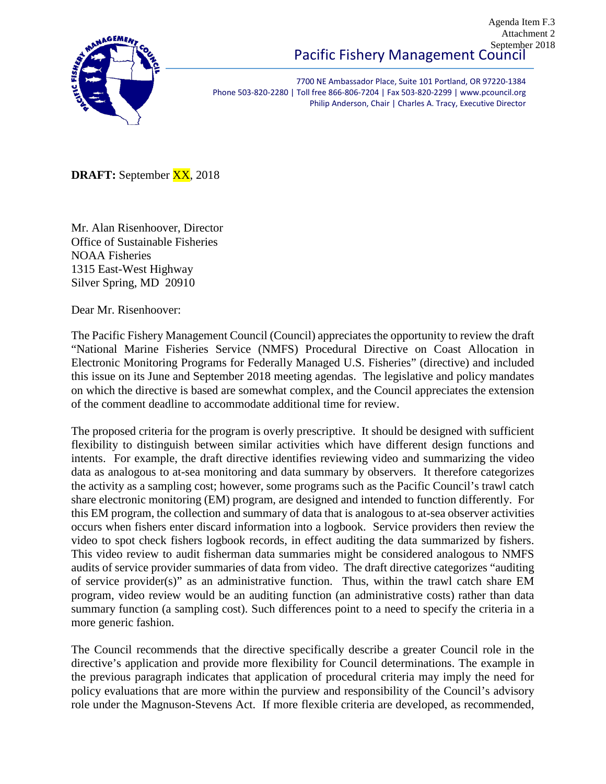

7700 NE Ambassador Place, Suite 101 Portland, OR 97220-1384 Phone 503-820-2280 | Toll free 866-806-7204 | Fax 503-820-2299 | www.pcouncil.org Philip Anderson, Chair | Charles A. Tracy, Executive Director

**DRAFT:** September XX, 2018

Mr. Alan Risenhoover, Director Office of Sustainable Fisheries NOAA Fisheries 1315 East-West Highway Silver Spring, MD 20910

Dear Mr. Risenhoover:

The Pacific Fishery Management Council (Council) appreciates the opportunity to review the draft "National Marine Fisheries Service (NMFS) Procedural Directive on Coast Allocation in Electronic Monitoring Programs for Federally Managed U.S. Fisheries" (directive) and included this issue on its June and September 2018 meeting agendas. The legislative and policy mandates on which the directive is based are somewhat complex, and the Council appreciates the extension of the comment deadline to accommodate additional time for review.

The proposed criteria for the program is overly prescriptive. It should be designed with sufficient flexibility to distinguish between similar activities which have different design functions and intents. For example, the draft directive identifies reviewing video and summarizing the video data as analogous to at-sea monitoring and data summary by observers. It therefore categorizes the activity as a sampling cost; however, some programs such as the Pacific Council's trawl catch share electronic monitoring (EM) program, are designed and intended to function differently. For this EM program, the collection and summary of data that is analogous to at-sea observer activities occurs when fishers enter discard information into a logbook. Service providers then review the video to spot check fishers logbook records, in effect auditing the data summarized by fishers. This video review to audit fisherman data summaries might be considered analogous to NMFS audits of service provider summaries of data from video. The draft directive categorizes "auditing of service provider(s)" as an administrative function. Thus, within the trawl catch share EM program, video review would be an auditing function (an administrative costs) rather than data summary function (a sampling cost). Such differences point to a need to specify the criteria in a more generic fashion.

The Council recommends that the directive specifically describe a greater Council role in the directive's application and provide more flexibility for Council determinations. The example in the previous paragraph indicates that application of procedural criteria may imply the need for policy evaluations that are more within the purview and responsibility of the Council's advisory role under the Magnuson-Stevens Act. If more flexible criteria are developed, as recommended,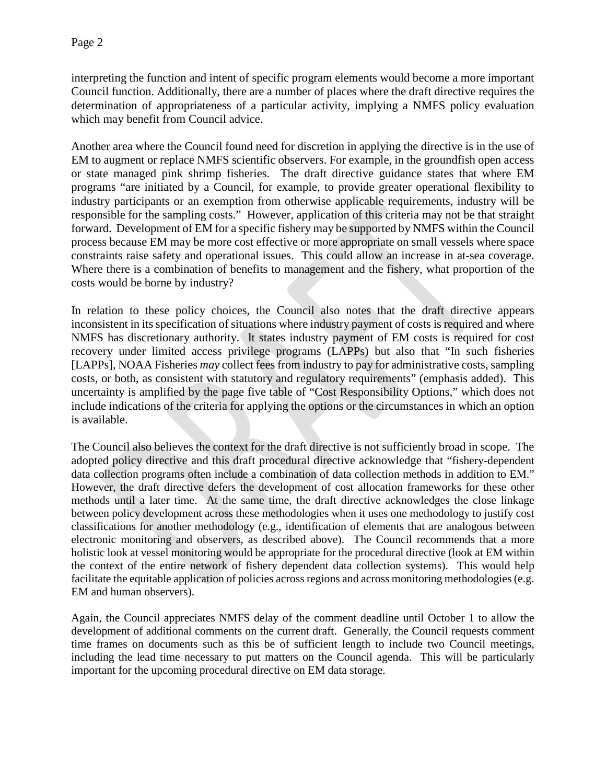interpreting the function and intent of specific program elements would become a more important Council function. Additionally, there are a number of places where the draft directive requires the determination of appropriateness of a particular activity, implying a NMFS policy evaluation which may benefit from Council advice.

Another area where the Council found need for discretion in applying the directive is in the use of EM to augment or replace NMFS scientific observers. For example, in the groundfish open access or state managed pink shrimp fisheries. The draft directive guidance states that where EM programs "are initiated by a Council, for example, to provide greater operational flexibility to industry participants or an exemption from otherwise applicable requirements, industry will be responsible for the sampling costs." However, application of this criteria may not be that straight forward. Development of EM for a specific fishery may be supported by NMFS within the Council process because EM may be more cost effective or more appropriate on small vessels where space constraints raise safety and operational issues. This could allow an increase in at-sea coverage. Where there is a combination of benefits to management and the fishery, what proportion of the costs would be borne by industry?

In relation to these policy choices, the Council also notes that the draft directive appears inconsistent in its specification of situations where industry payment of costs is required and where NMFS has discretionary authority. It states industry payment of EM costs is required for cost recovery under limited access privilege programs (LAPPs) but also that "In such fisheries [LAPPs], NOAA Fisheries *may* collect fees from industry to pay for administrative costs, sampling costs, or both, as consistent with statutory and regulatory requirements" (emphasis added). This uncertainty is amplified by the page five table of "Cost Responsibility Options," which does not include indications of the criteria for applying the options or the circumstances in which an option is available.

The Council also believes the context for the draft directive is not sufficiently broad in scope. The adopted policy directive and this draft procedural directive acknowledge that "fishery-dependent data collection programs often include a combination of data collection methods in addition to EM." However, the draft directive defers the development of cost allocation frameworks for these other methods until a later time. At the same time, the draft directive acknowledges the close linkage between policy development across these methodologies when it uses one methodology to justify cost classifications for another methodology (e.g., identification of elements that are analogous between electronic monitoring and observers, as described above). The Council recommends that a more holistic look at vessel monitoring would be appropriate for the procedural directive (look at EM within the context of the entire network of fishery dependent data collection systems). This would help facilitate the equitable application of policies across regions and across monitoring methodologies (e.g. EM and human observers).

Again, the Council appreciates NMFS delay of the comment deadline until October 1 to allow the development of additional comments on the current draft. Generally, the Council requests comment time frames on documents such as this be of sufficient length to include two Council meetings, including the lead time necessary to put matters on the Council agenda. This will be particularly important for the upcoming procedural directive on EM data storage.